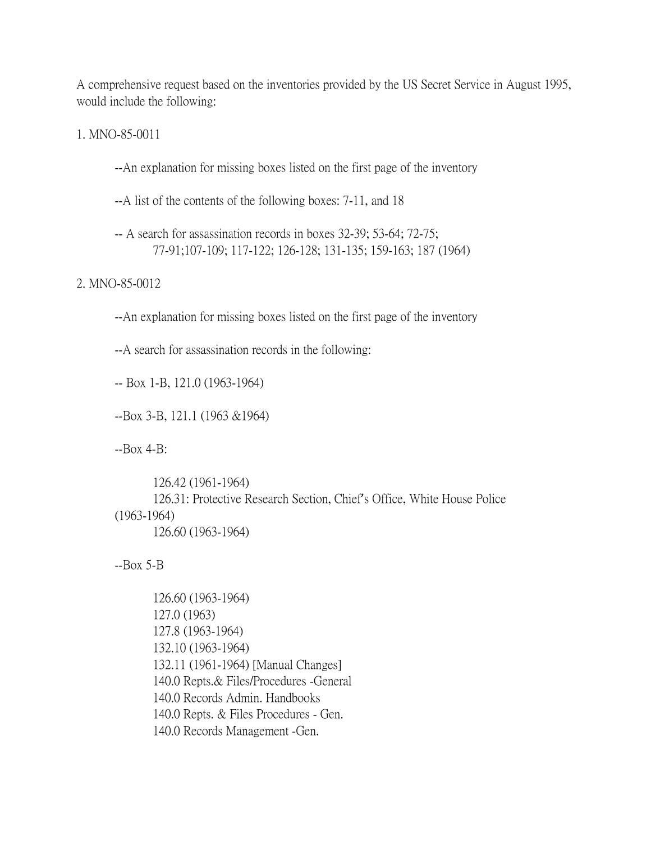A comprehensive request based on the inventories provided by the US Secret Service in August 1995, would include the following:

1. MNO-85-0011

--An explanation for missing boxes listed on the first page of the inventory

--A list of the contents of the following boxes: 7-11, and 18

-- A search for assassination records in boxes 32-39; 53-64; 72-75; 77-91;107-109; 117-122; 126-128; 131-135; 159-163; 187 (1964)

## 2. MNO-85-0012

--An explanation for missing boxes listed on the first page of the inventory

--A search for assassination records in the following:

-- Box 1-B, 121.0 (1963-1964)

--Box 3-B, 121.1 (1963 &1964)

--Box 4-B:

126.42 (1961-1964) 126.31: Protective Research Section, Chief's Office, White House Police (1963-1964) 126.60 (1963-1964)

--Box 5-B

126.60 (1963-1964) 127.0 (1963) 127.8 (1963-1964) 132.10 (1963-1964) 132.11 (1961-1964) [Manual Changes] 140.0 Repts.& Files/Procedures -General 140.0 Records Admin. Handbooks 140.0 Repts. & Files Procedures - Gen. 140.0 Records Management -Gen.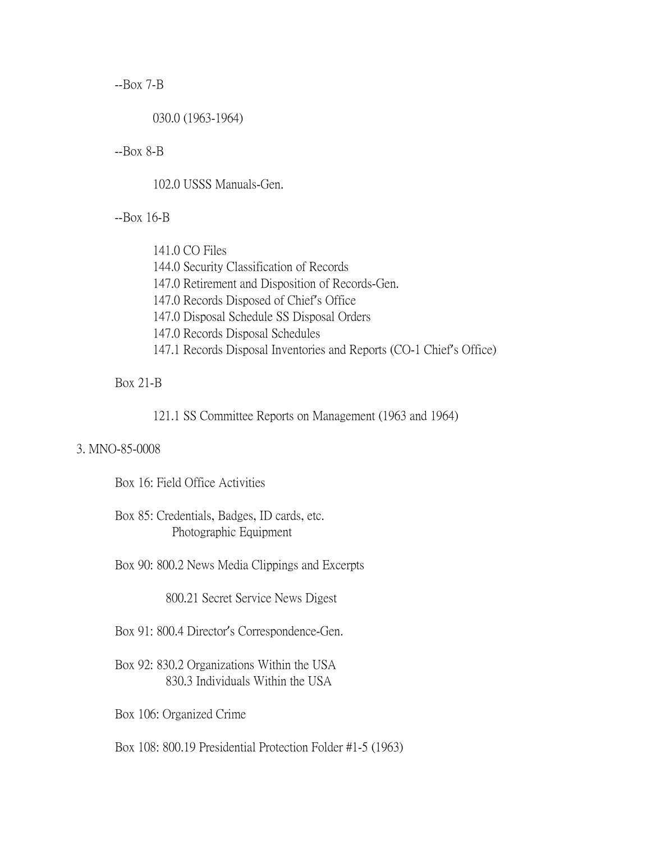--Box 7-B

030.0 (1963-1964)

--Box 8-B

102.0 USSS Manuals-Gen.

--Box 16-B

141.0 CO Files 144.0 Security Classification of Records 147.0 Retirement and Disposition of Records-Gen. 147.0 Records Disposed of Chief's Office 147.0 Disposal Schedule SS Disposal Orders 147.0 Records Disposal Schedules 147.1 Records Disposal Inventories and Reports (CO-1 Chief's Office)

## Box 21-B

121.1 SS Committee Reports on Management (1963 and 1964)

## 3. MNO-85-0008

Box 16: Field Office Activities

Box 85: Credentials, Badges, ID cards, etc. Photographic Equipment

Box 90: 800.2 News Media Clippings and Excerpts

800.21 Secret Service News Digest

Box 91: 800.4 Director's Correspondence-Gen.

Box 92: 830.2 Organizations Within the USA 830.3 Individuals Within the USA

Box 106: Organized Crime

Box 108: 800.19 Presidential Protection Folder #1-5 (1963)